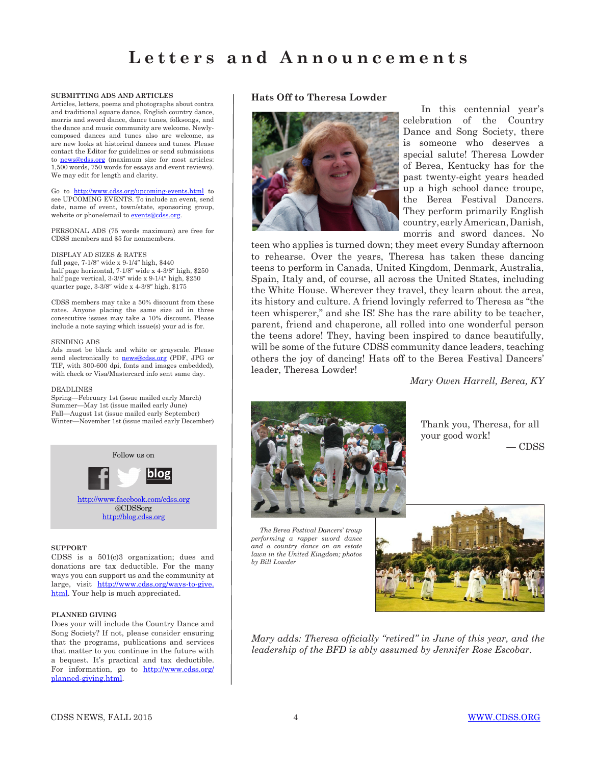### **SUBMITTING ADS AND ARTICLES**

Articles, letters, poems and photographs about contra and traditional square dance, English country dance, morris and sword dance, dance tunes, folksongs, and the dance and music community are welcome. Newlycomposed dances and tunes also are welcome, as are new looks at historical dances and tunes. Please contact the Editor for guidelines or send submissions to **[news@cdss.org](mailto:news@cdss.org)** (maximum size for most articles: 1,500 words, 750 words for essays and event reviews). We may edit for length and clarity.

Go to <http://www.cdss.org/upcoming-events.html>to see UPCOMING EVENTS. To include an event, send date, name of event, town/state, sponsoring group, website or phone/email to [events@cdss.org.](mailto:events@cdss.org)

PERSONAL ADS (75 words maximum) are free for CDSS members and \$5 for nonmembers.

### DISPLAY AD SIZES & RATES

full page, 7-1/8″ wide x 9-1/4″ high, \$440 half page horizontal, 7-1/8″ wide x 4-3/8″ high, \$250 half page vertical,  $3-3/8$ " wide x  $9-1/4$ " high, \$250 quarter page, 3-3/8″ wide x 4-3/8″ high, \$175

CDSS members may take a 50% discount from these rates. Anyone placing the same size ad in three consecutive issues may take a 10% discount. Please include a note saying which issue(s) your ad is for.

#### SENDING ADS

Ads must be black and white or grayscale. Please send electronically to **news@cdss.org** (PDF, JPG or TIF, with 300-600 dpi, fonts and images embedded), with check or Visa/Mastercard info sent same day.

#### DEADLINES

Spring—February 1st (issue mailed early March) Summer—May 1st (issue mailed early June) Fall—August 1st (issue mailed early September) Winter—November 1st (issue mailed early December)



### **SUPPORT**

CDSS is a 501(c)3 organization; dues and donations are tax deductible. For the many ways you can support us and the community at large, visit [http://www.cdss.org/ways-to-give.](http://www.cdss.org/ways-to-give.html) [html.](http://www.cdss.org/ways-to-give.html) Your help is much appreciated.

### **PLANNED GIVING**

Does your will include the Country Dance and Song Society? If not, please consider ensuring that the programs, publications and services that matter to you continue in the future with a bequest. It's practical and tax deductible. For information, go to [http://www.cdss.org/](http://www.cdss.org/planned-giving.html) [planned-giving.html](http://www.cdss.org/planned-giving.html).

## **Hats Off to Theresa Lowder**



In this centennial year's celebration of the Country Dance and Song Society, there is someone who deserves a special salute! Theresa Lowder of Berea, Kentucky has for the past twenty-eight years headed up a high school dance troupe, the Berea Festival Dancers. They perform primarily English country, early American, Danish, morris and sword dances. No

teen who applies is turned down; they meet every Sunday afternoon to rehearse. Over the years, Theresa has taken these dancing teens to perform in Canada, United Kingdom, Denmark, Australia, Spain, Italy and, of course, all across the United States, including the White House. Wherever they travel, they learn about the area, its history and culture. A friend lovingly referred to Theresa as "the teen whisperer," and she IS! She has the rare ability to be teacher, parent, friend and chaperone, all rolled into one wonderful person the teens adore! They, having been inspired to dance beautifully, will be some of the future CDSS community dance leaders, teaching others the joy of dancing! Hats off to the Berea Festival Dancers' leader, Theresa Lowder!

*Mary Owen Harrell, Berea, KY*



Thank you, Theresa, for all your good work! — CDSS

 *The Berea Festival Dancers*' *troup performing a rapper sword dance and a country dance on an estate lawn in the United Kingdom; photos by Bill Lowder*



*Mary adds: Theresa officially "retired" in June of this year, and the leadership of the BFD is ably assumed by Jennifer Rose Escobar.*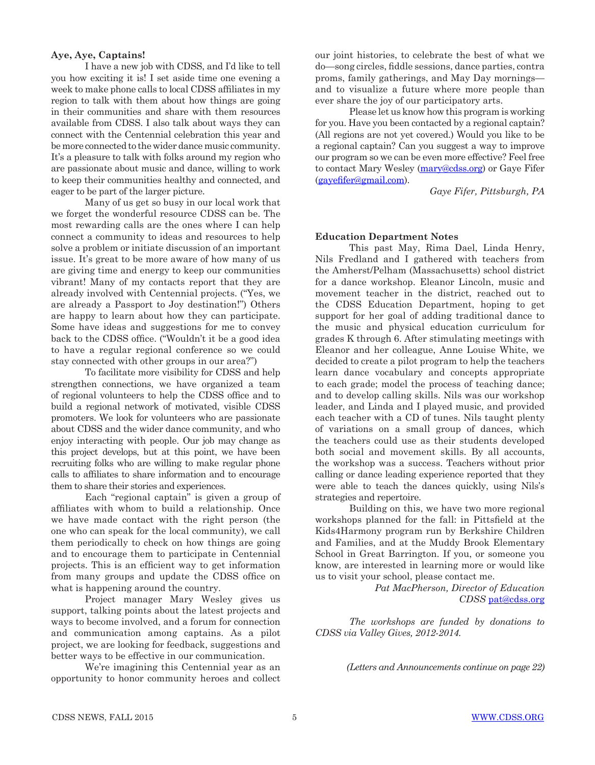### **Aye, Aye, Captains!**

I have a new job with CDSS, and I'd like to tell you how exciting it is! I set aside time one evening a week to make phone calls to local CDSS affiliates in my region to talk with them about how things are going in their communities and share with them resources available from CDSS. I also talk about ways they can connect with the Centennial celebration this year and be more connected to the wider dance music community. It's a pleasure to talk with folks around my region who are passionate about music and dance, willing to work to keep their communities healthy and connected, and eager to be part of the larger picture.

Many of us get so busy in our local work that we forget the wonderful resource CDSS can be. The most rewarding calls are the ones where I can help connect a community to ideas and resources to help solve a problem or initiate discussion of an important issue. It's great to be more aware of how many of us are giving time and energy to keep our communities vibrant! Many of my contacts report that they are already involved with Centennial projects. ("Yes, we are already a Passport to Joy destination!") Others are happy to learn about how they can participate. Some have ideas and suggestions for me to convey back to the CDSS office. ("Wouldn't it be a good idea to have a regular regional conference so we could stay connected with other groups in our area?")

To facilitate more visibility for CDSS and help strengthen connections, we have organized a team of regional volunteers to help the CDSS office and to build a regional network of motivated, visible CDSS promoters. We look for volunteers who are passionate about CDSS and the wider dance community, and who enjoy interacting with people. Our job may change as this project develops, but at this point, we have been recruiting folks who are willing to make regular phone calls to affiliates to share information and to encourage them to share their stories and experiences.

Each "regional captain" is given a group of affiliates with whom to build a relationship. Once we have made contact with the right person (the one who can speak for the local community), we call them periodically to check on how things are going and to encourage them to participate in Centennial projects. This is an efficient way to get information from many groups and update the CDSS office on what is happening around the country.

Project manager Mary Wesley gives us support, talking points about the latest projects and ways to become involved, and a forum for connection and communication among captains. As a pilot project, we are looking for feedback, suggestions and better ways to be effective in our communication.

We're imagining this Centennial year as an opportunity to honor community heroes and collect our joint histories, to celebrate the best of what we do—song circles, fiddle sessions, dance parties, contra proms, family gatherings, and May Day mornings and to visualize a future where more people than ever share the joy of our participatory arts.

Please let us know how this program is working for you. Have you been contacted by a regional captain? (All regions are not yet covered.) Would you like to be a regional captain? Can you suggest a way to improve our program so we can be even more effective? Feel free to contact Mary Wesley [\(mary@cdss.org](mailto:mary@cdss.org)) or Gaye Fifer ([gayefifer@gmail.com](mailto:gayefifer@gmail.com)).

*Gaye Fifer, Pittsburgh, PA*

### **Education Department Notes**

This past May, Rima Dael, Linda Henry, Nils Fredland and I gathered with teachers from the Amherst/Pelham (Massachusetts) school district for a dance workshop. Eleanor Lincoln, music and movement teacher in the district, reached out to the CDSS Education Department, hoping to get support for her goal of adding traditional dance to the music and physical education curriculum for grades K through 6. After stimulating meetings with Eleanor and her colleague, Anne Louise White, we decided to create a pilot program to help the teachers learn dance vocabulary and concepts appropriate to each grade; model the process of teaching dance; and to develop calling skills. Nils was our workshop leader, and Linda and I played music, and provided each teacher with a CD of tunes. Nils taught plenty of variations on a small group of dances, which the teachers could use as their students developed both social and movement skills. By all accounts, the workshop was a success. Teachers without prior calling or dance leading experience reported that they were able to teach the dances quickly, using Nils's strategies and repertoire.

Building on this, we have two more regional workshops planned for the fall: in Pittsfield at the Kids4Harmony program run by Berkshire Children and Families, and at the Muddy Brook Elementary School in Great Barrington. If you, or someone you know, are interested in learning more or would like us to visit your school, please contact me.

> *Pat MacPherson, Director of Education CDSS* [pat@cdss.org](mailto:pat@cdss.org)

*The workshops are funded by donations to CDSS via Valley Gives, 2012-2014.*

*(Letters and Announcements continue on page 22)*